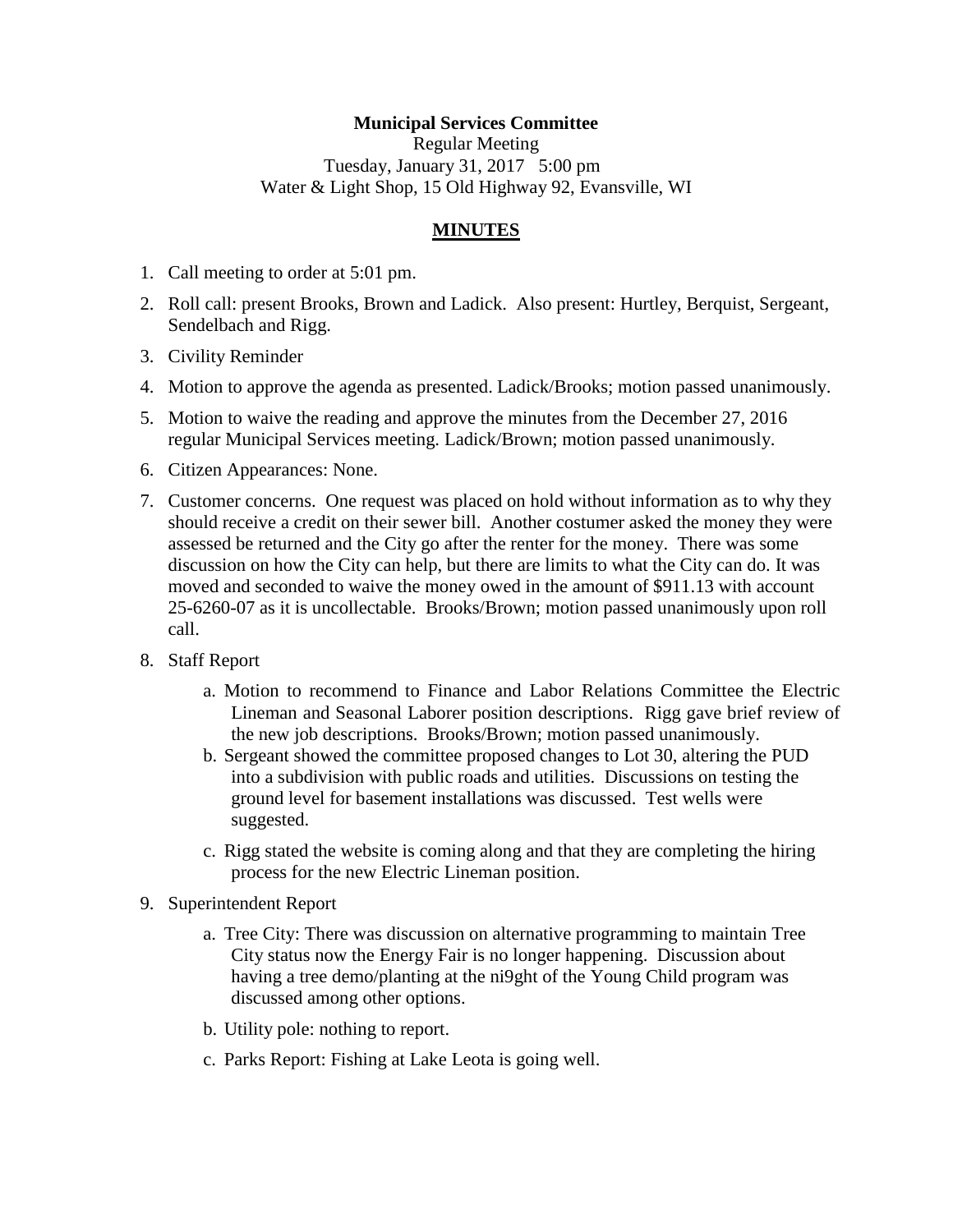## **Municipal Services Committee**

Regular Meeting Tuesday, January 31, 2017 5:00 pm Water & Light Shop, 15 Old Highway 92, Evansville, WI

## **MINUTES**

- 1. Call meeting to order at 5:01 pm.
- 2. Roll call: present Brooks, Brown and Ladick. Also present: Hurtley, Berquist, Sergeant, Sendelbach and Rigg.
- 3. Civility Reminder
- 4. Motion to approve the agenda as presented. Ladick/Brooks; motion passed unanimously.
- 5. Motion to waive the reading and approve the minutes from the December 27, 2016 regular Municipal Services meeting. Ladick/Brown; motion passed unanimously.
- 6. Citizen Appearances: None.
- 7. Customer concerns. One request was placed on hold without information as to why they should receive a credit on their sewer bill. Another costumer asked the money they were assessed be returned and the City go after the renter for the money. There was some discussion on how the City can help, but there are limits to what the City can do. It was moved and seconded to waive the money owed in the amount of \$911.13 with account 25-6260-07 as it is uncollectable. Brooks/Brown; motion passed unanimously upon roll call.
- 8. Staff Report
	- a. Motion to recommend to Finance and Labor Relations Committee the Electric Lineman and Seasonal Laborer position descriptions. Rigg gave brief review of the new job descriptions. Brooks/Brown; motion passed unanimously.
	- b. Sergeant showed the committee proposed changes to Lot 30, altering the PUD into a subdivision with public roads and utilities. Discussions on testing the ground level for basement installations was discussed. Test wells were suggested.
	- c. Rigg stated the website is coming along and that they are completing the hiring process for the new Electric Lineman position.
- 9. Superintendent Report
	- a. Tree City: There was discussion on alternative programming to maintain Tree City status now the Energy Fair is no longer happening. Discussion about having a tree demo/planting at the ni9ght of the Young Child program was discussed among other options.
	- b. Utility pole: nothing to report.
	- c. Parks Report: Fishing at Lake Leota is going well.